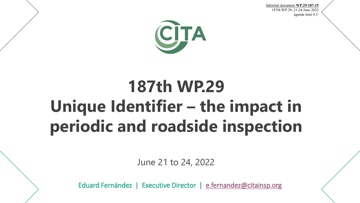Informal document **WP.29-187-15** 187th WP.29; 21-24 June 2022 agenda item 4.5**.**



## **187th WP.29 Unique Identifier – the impact in periodic and roadside inspection**

June 21 to 24, 2022

Eduard Fernández | Executive Director | [e.fernandez@citainsp.org](mailto:e.fernandez@citainsp.org)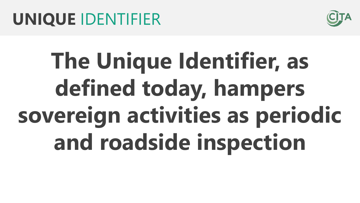

# **The Unique Identifier, as defined today, hampers sovereign activities as periodic and roadside inspection**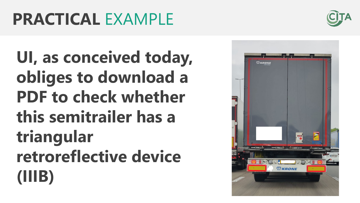## **PRACTICAL** EXAMPLE

**UI, as conceived today, obliges to download a PDF to check whether this semitrailer has a triangular retroreflective device (IIIB)**



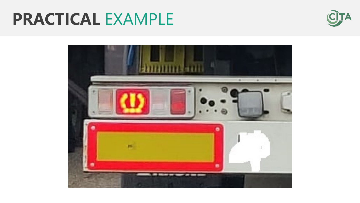### **PRACTICAL** EXAMPLE



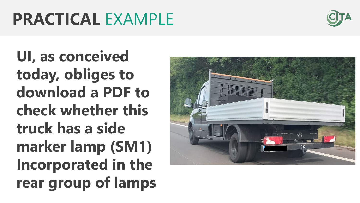### **PRACTICAL** EXAMPLE



**UI, as conceived today, obliges to download a PDF to check whether this truck has a side marker lamp (SM1) Incorporated in the rear group of lamps**

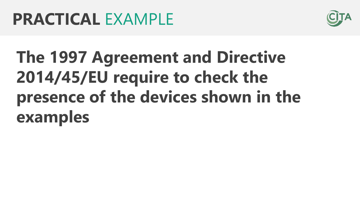

# **The 1997 Agreement and Directive 2014/45/EU require to check the presence of the devices shown in the examples**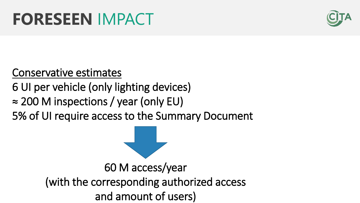

#### Conservative estimates

#### 6 UI per vehicle (only lighting devices)

≈ 200 M inspections / year (only EU)

5% of UI require access to the Summary Document

60 M access/year (with the corresponding authorized access and amount of users)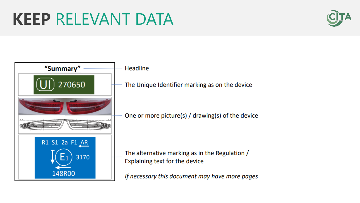

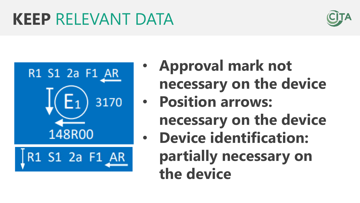### **KEEP** RELEVANT DATA





- **Approval mark not necessary on the device**
- **Position arrows:** 
	- **necessary on the device**
- **Device identification: partially necessary on the device**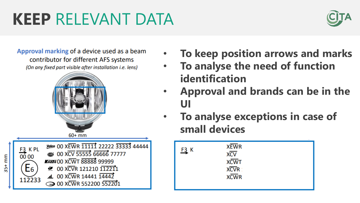## **KEEP** RELEVANT DATA



Approval marking of a device used as a beam contributor for different AFS systems (On any fixed part visible after installation i.e. lens)





- **To keep position arrows and marks** • **To analyse the need of function identification**
- **Approval and brands can be in the UI**
- **To analyse exceptions in case of small devices**

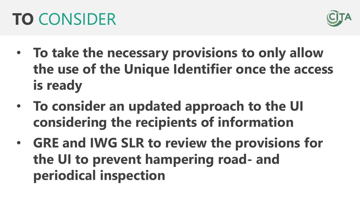

- **To take the necessary provisions to only allow the use of the Unique Identifier once the access is ready**
- **To consider an updated approach to the UI considering the recipients of information**
- **GRE and IWG SLR to review the provisions for the UI to prevent hampering road- and periodical inspection**